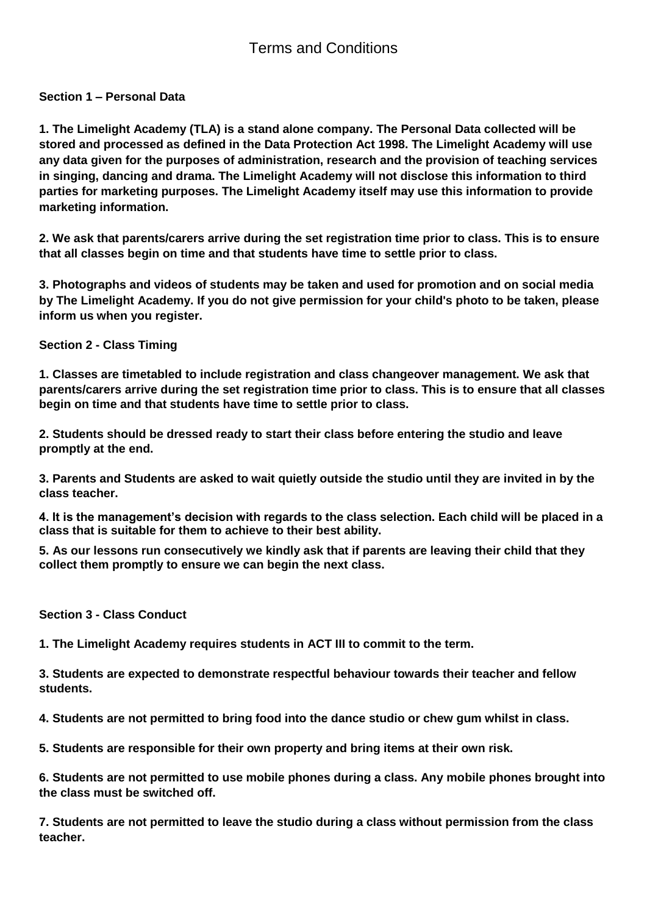**Section 1 – Personal Data**

**1. The Limelight Academy (TLA) is a stand alone company. The Personal Data collected will be stored and processed as defined in the Data Protection Act 1998. The Limelight Academy will use any data given for the purposes of administration, research and the provision of teaching services in singing, dancing and drama. The Limelight Academy will not disclose this information to third parties for marketing purposes. The Limelight Academy itself may use this information to provide marketing information.**

**2. We ask that parents/carers arrive during the set registration time prior to class. This is to ensure that all classes begin on time and that students have time to settle prior to class.**

**3. Photographs and videos of students may be taken and used for promotion and on social media by The Limelight Academy. If you do not give permission for your child's photo to be taken, please inform us when you register.**

**Section 2 - Class Timing**

**1. Classes are timetabled to include registration and class changeover management. We ask that parents/carers arrive during the set registration time prior to class. This is to ensure that all classes begin on time and that students have time to settle prior to class.**

**2. Students should be dressed ready to start their class before entering the studio and leave promptly at the end.**

**3. Parents and Students are asked to wait quietly outside the studio until they are invited in by the class teacher.**

**4. It is the management's decision with regards to the class selection. Each child will be placed in a class that is suitable for them to achieve to their best ability.** 

**5. As our lessons run consecutively we kindly ask that if parents are leaving their child that they collect them promptly to ensure we can begin the next class.**

**Section 3 - Class Conduct**

**1. The Limelight Academy requires students in ACT III to commit to the term.**

**3. Students are expected to demonstrate respectful behaviour towards their teacher and fellow students.**

**4. Students are not permitted to bring food into the dance studio or chew gum whilst in class.** 

**5. Students are responsible for their own property and bring items at their own risk.**

**6. Students are not permitted to use mobile phones during a class. Any mobile phones brought into the class must be switched off.**

**7. Students are not permitted to leave the studio during a class without permission from the class teacher.**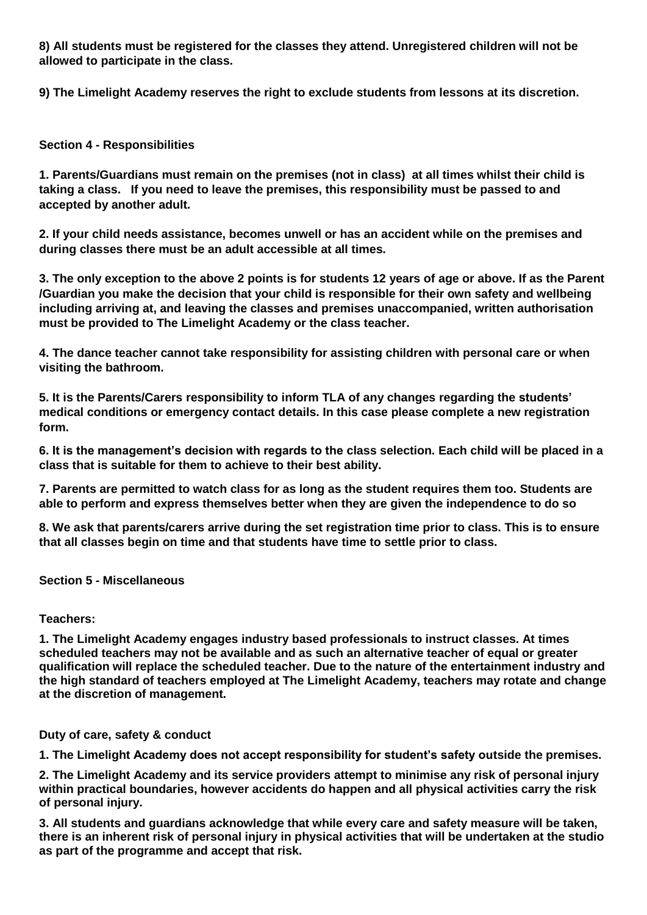**8) All students must be registered for the classes they attend. Unregistered children will not be allowed to participate in the class.**

**9) The Limelight Academy reserves the right to exclude students from lessons at its discretion.**

## **Section 4 - Responsibilities**

**1. Parents/Guardians must remain on the premises (not in class) at all times whilst their child is taking a class. If you need to leave the premises, this responsibility must be passed to and accepted by another adult.**

**2. If your child needs assistance, becomes unwell or has an accident while on the premises and during classes there must be an adult accessible at all times.**

**3. The only exception to the above 2 points is for students 12 years of age or above. If as the Parent /Guardian you make the decision that your child is responsible for their own safety and wellbeing including arriving at, and leaving the classes and premises unaccompanied, written authorisation must be provided to The Limelight Academy or the class teacher.**

**4. The dance teacher cannot take responsibility for assisting children with personal care or when visiting the bathroom.**

**5. It is the Parents/Carers responsibility to inform TLA of any changes regarding the students' medical conditions or emergency contact details. In this case please complete a new registration form.**

**6. It is the management's decision with regards to the class selection. Each child will be placed in a class that is suitable for them to achieve to their best ability.**

**7. Parents are permitted to watch class for as long as the student requires them too. Students are able to perform and express themselves better when they are given the independence to do so**

**8. We ask that parents/carers arrive during the set registration time prior to class. This is to ensure that all classes begin on time and that students have time to settle prior to class.**

## **Section 5 - Miscellaneous**

## **Teachers:**

**1. The Limelight Academy engages industry based professionals to instruct classes. At times scheduled teachers may not be available and as such an alternative teacher of equal or greater qualification will replace the scheduled teacher. Due to the nature of the entertainment industry and the high standard of teachers employed at The Limelight Academy, teachers may rotate and change at the discretion of management.**

**Duty of care, safety & conduct**

**1. The Limelight Academy does not accept responsibility for student's safety outside the premises.**

**2. The Limelight Academy and its service providers attempt to minimise any risk of personal injury within practical boundaries, however accidents do happen and all physical activities carry the risk of personal injury.**

**3. All students and guardians acknowledge that while every care and safety measure will be taken, there is an inherent risk of personal injury in physical activities that will be undertaken at the studio as part of the programme and accept that risk.**